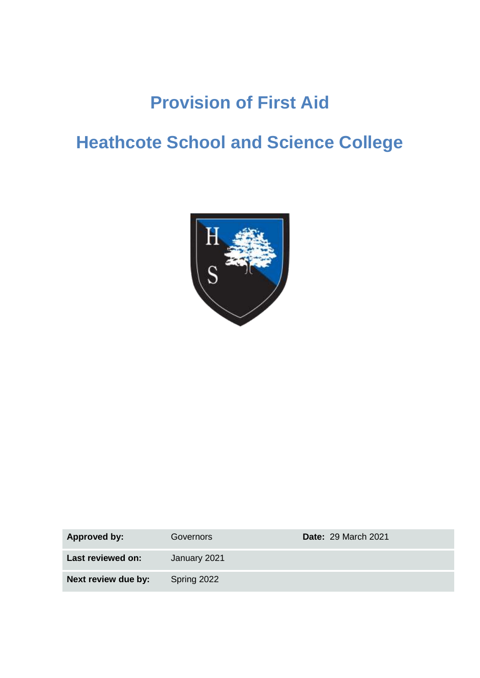# **Provision of First Aid**

# **Heathcote School and Science College**



| <b>Approved by:</b> | Governors    | <b>Date: 29 March 2021</b> |
|---------------------|--------------|----------------------------|
| Last reviewed on:   | January 2021 |                            |
| Next review due by: | Spring 2022  |                            |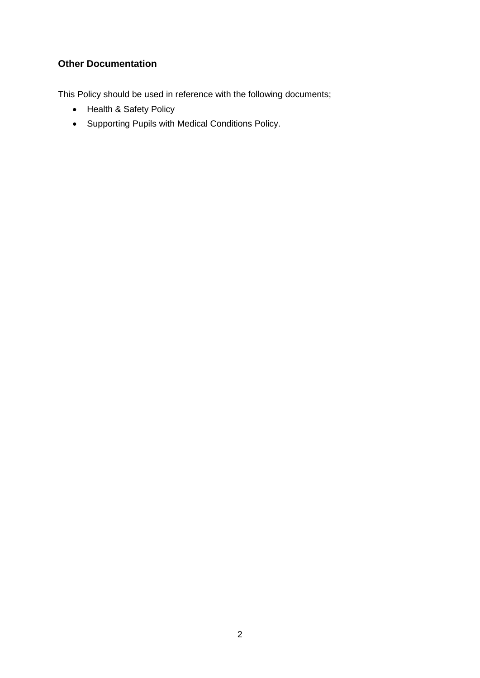## **Other Documentation**

This Policy should be used in reference with the following documents;

- Health & Safety Policy
- Supporting Pupils with Medical Conditions Policy.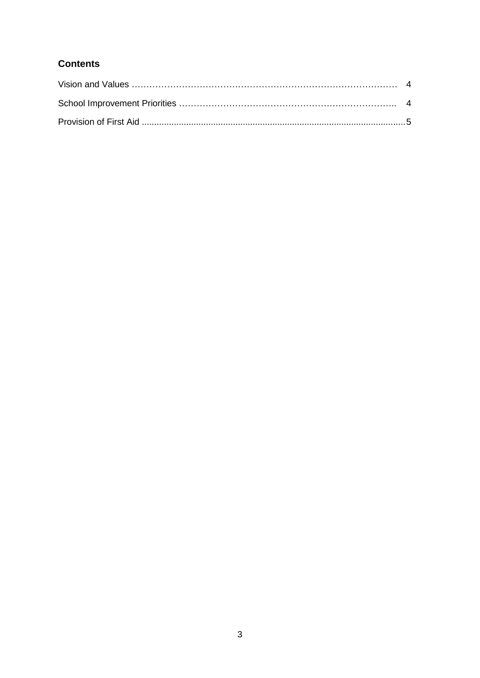## **Contents**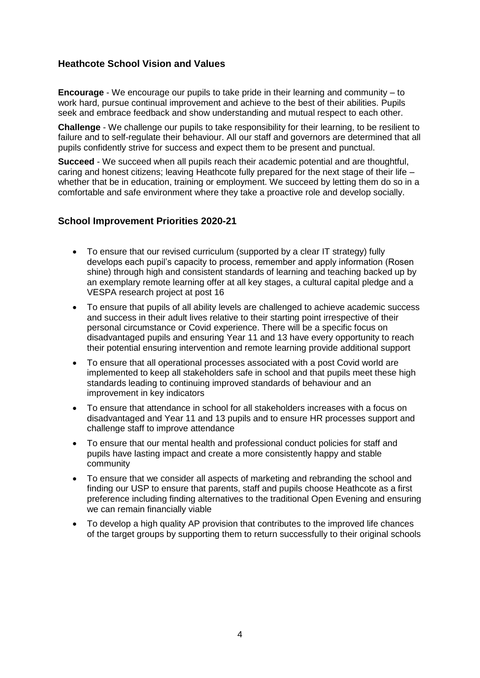### **Heathcote School Vision and Values**

**Encourage** - We encourage our pupils to take pride in their learning and community – to work hard, pursue continual improvement and achieve to the best of their abilities. Pupils seek and embrace feedback and show understanding and mutual respect to each other.

**Challenge** - We challenge our pupils to take responsibility for their learning, to be resilient to failure and to self-regulate their behaviour. All our staff and governors are determined that all pupils confidently strive for success and expect them to be present and punctual.

**Succeed** - We succeed when all pupils reach their academic potential and are thoughtful, caring and honest citizens; leaving Heathcote fully prepared for the next stage of their life – whether that be in education, training or employment. We succeed by letting them do so in a comfortable and safe environment where they take a proactive role and develop socially.

### **School Improvement Priorities 2020-21**

- To ensure that our revised curriculum (supported by a clear IT strategy) fully develops each pupil's capacity to process, remember and apply information (Rosen shine) through high and consistent standards of learning and teaching backed up by an exemplary remote learning offer at all key stages, a cultural capital pledge and a VESPA research project at post 16
- To ensure that pupils of all ability levels are challenged to achieve academic success and success in their adult lives relative to their starting point irrespective of their personal circumstance or Covid experience. There will be a specific focus on disadvantaged pupils and ensuring Year 11 and 13 have every opportunity to reach their potential ensuring intervention and remote learning provide additional support
- To ensure that all operational processes associated with a post Covid world are implemented to keep all stakeholders safe in school and that pupils meet these high standards leading to continuing improved standards of behaviour and an improvement in key indicators
- To ensure that attendance in school for all stakeholders increases with a focus on disadvantaged and Year 11 and 13 pupils and to ensure HR processes support and challenge staff to improve attendance
- To ensure that our mental health and professional conduct policies for staff and pupils have lasting impact and create a more consistently happy and stable community
- To ensure that we consider all aspects of marketing and rebranding the school and finding our USP to ensure that parents, staff and pupils choose Heathcote as a first preference including finding alternatives to the traditional Open Evening and ensuring we can remain financially viable
- To develop a high quality AP provision that contributes to the improved life chances of the target groups by supporting them to return successfully to their original schools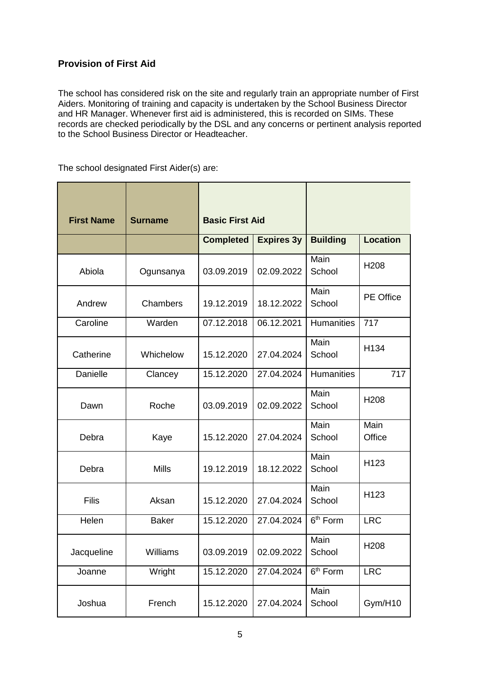## **Provision of First Aid**

The school has considered risk on the site and regularly train an appropriate number of First Aiders. Monitoring of training and capacity is undertaken by the School Business Director and HR Manager. Whenever first aid is administered, this is recorded on SIMs. These records are checked periodically by the DSL and any concerns or pertinent analysis reported to the School Business Director or Headteacher.

The school designated First Aider(s) are:

| <b>First Name</b> | <b>Surname</b> | <b>Basic First Aid</b> |                   |                      |                  |
|-------------------|----------------|------------------------|-------------------|----------------------|------------------|
|                   |                | <b>Completed</b>       | <b>Expires 3y</b> | <b>Building</b>      | <b>Location</b>  |
| Abiola            | Ogunsanya      | 03.09.2019             | 02.09.2022        | Main<br>School       | H <sub>208</sub> |
| Andrew            | Chambers       | 19.12.2019             | 18.12.2022        | Main<br>School       | <b>PE Office</b> |
| Caroline          | Warden         | 07.12.2018             | 06.12.2021        | <b>Humanities</b>    | 717              |
| Catherine         | Whichelow      | 15.12.2020             | 27.04.2024        | Main<br>School       | H134             |
| Danielle          | Clancey        | 15.12.2020             | 27.04.2024        | <b>Humanities</b>    | 717              |
| Dawn              | Roche          | 03.09.2019             | 02.09.2022        | Main<br>School       | H <sub>208</sub> |
| Debra             | Kaye           | 15.12.2020             | 27.04.2024        | Main<br>School       | Main<br>Office   |
| Debra             | <b>Mills</b>   | 19.12.2019             | 18.12.2022        | Main<br>School       | H123             |
| Filis             | Aksan          | 15.12.2020             | 27.04.2024        | Main<br>School       | H123             |
| Helen             | <b>Baker</b>   | 15.12.2020             | 27.04.2024        | 6 <sup>th</sup> Form | <b>LRC</b>       |
| Jacqueline        | Williams       | 03.09.2019             | 02.09.2022        | Main<br>School       | H208             |
| Joanne            | Wright         | 15.12.2020             | 27.04.2024        | 6 <sup>th</sup> Form | <b>LRC</b>       |
| Joshua            | French         | 15.12.2020             | 27.04.2024        | Main<br>School       | Gym/H10          |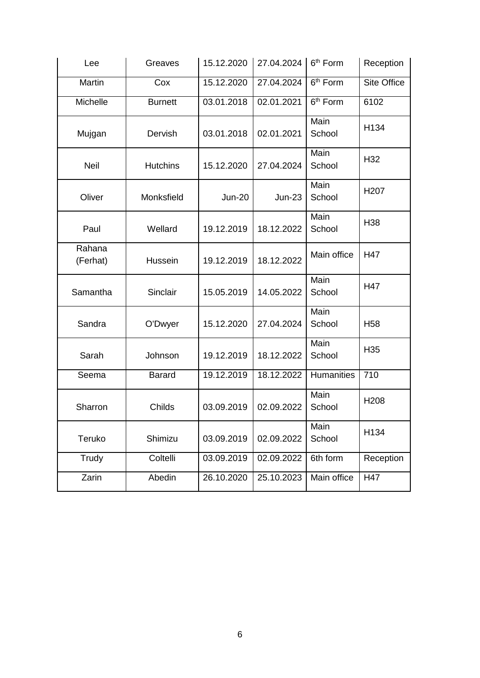| Lee                | Greaves         | 15.12.2020    | 27.04.2024 | 6 <sup>th</sup> Form | Reception          |
|--------------------|-----------------|---------------|------------|----------------------|--------------------|
| Martin             | Cox             | 15.12.2020    | 27.04.2024 | 6 <sup>th</sup> Form | <b>Site Office</b> |
| Michelle           | <b>Burnett</b>  | 03.01.2018    | 02.01.2021 | 6 <sup>th</sup> Form | 6102               |
| Mujgan             | Dervish         | 03.01.2018    | 02.01.2021 | Main<br>School       | H134               |
| <b>Neil</b>        | <b>Hutchins</b> | 15.12.2020    | 27.04.2024 | Main<br>School       | H32                |
| Oliver             | Monksfield      | <b>Jun-20</b> | $Jun-23$   | Main<br>School       | H <sub>20</sub> 7  |
| Paul               | Wellard         | 19.12.2019    | 18.12.2022 | Main<br>School       | H <sub>38</sub>    |
| Rahana<br>(Ferhat) | Hussein         | 19.12.2019    | 18.12.2022 | Main office          | H47                |
| Samantha           | Sinclair        | 15.05.2019    | 14.05.2022 | Main<br>School       | H47                |
| Sandra             | O'Dwyer         | 15.12.2020    | 27.04.2024 | Main<br>School       | H <sub>58</sub>    |
| Sarah              | Johnson         | 19.12.2019    | 18.12.2022 | Main<br>School       | H <sub>35</sub>    |
| Seema              | <b>Barard</b>   | 19.12.2019    | 18.12.2022 | Humanities           | 710                |
| Sharron            | Childs          | 03.09.2019    | 02.09.2022 | Main<br>School       | H <sub>208</sub>   |
| Teruko             | Shimizu         | 03.09.2019    | 02.09.2022 | Main<br>School       | H134               |
| Trudy              | Coltelli        | 03.09.2019    | 02.09.2022 | 6th form             | Reception          |
| Zarin              | Abedin          | 26.10.2020    | 25.10.2023 | Main office          | H47                |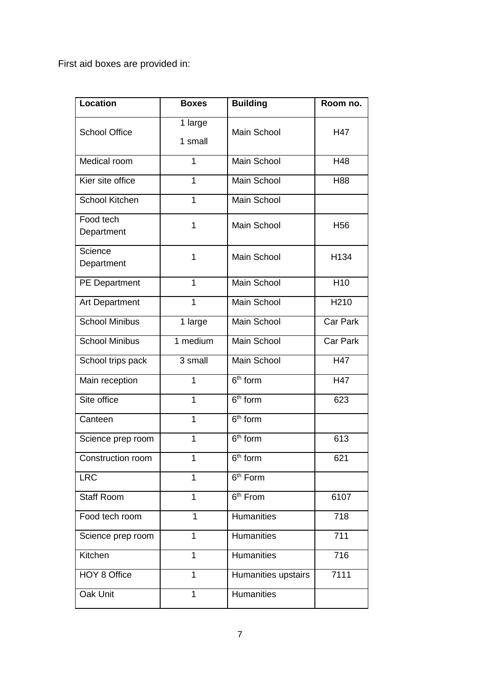First aid boxes are provided in:

| <b>Location</b>         | <b>Boxes</b>       | <b>Building</b>      | Room no.         |
|-------------------------|--------------------|----------------------|------------------|
| <b>School Office</b>    | 1 large<br>1 small | Main School          | H47              |
| Medical room            | 1                  | Main School          | H48              |
| Kier site office        | 1                  | Main School          | H88              |
| <b>School Kitchen</b>   | $\mathbf 1$        | Main School          |                  |
| Food tech<br>Department | $\overline{1}$     | Main School          | H <sub>56</sub>  |
| Science<br>Department   | 1                  | Main School          | H134             |
| PE Department           | $\overline{1}$     | <b>Main School</b>   | H10              |
| <b>Art Department</b>   | $\overline{1}$     | Main School          | H <sub>210</sub> |
| <b>School Minibus</b>   | 1 large            | <b>Main School</b>   | Car Park         |
| School Minibus          | 1 medium           | <b>Main School</b>   | Car Park         |
| School trips pack       | 3 small            | <b>Main School</b>   | H47              |
| Main reception          | 1                  | $6th$ form           | H47              |
| Site office             | $\overline{1}$     | 6 <sup>th</sup> form | 623              |
| Canteen                 | $\overline{1}$     | $6th$ form           |                  |
| Science prep room       | 1                  | 6 <sup>th</sup> form | 613              |
| Construction room       | 1                  | $6th$ form           | 621              |
| <b>LRC</b>              | $\overline{1}$     | 6 <sup>th</sup> Form |                  |
| <b>Staff Room</b>       | $\overline{1}$     | 6 <sup>th</sup> From | 6107             |
| Food tech room          | 1                  | <b>Humanities</b>    | 718              |
| Science prep room       | 1                  | <b>Humanities</b>    | 711              |
| Kitchen                 | 1                  | <b>Humanities</b>    | 716              |
| HOY 8 Office            | 1                  | Humanities upstairs  | 7111             |
| Oak Unit                | $\mathbf 1$        | <b>Humanities</b>    |                  |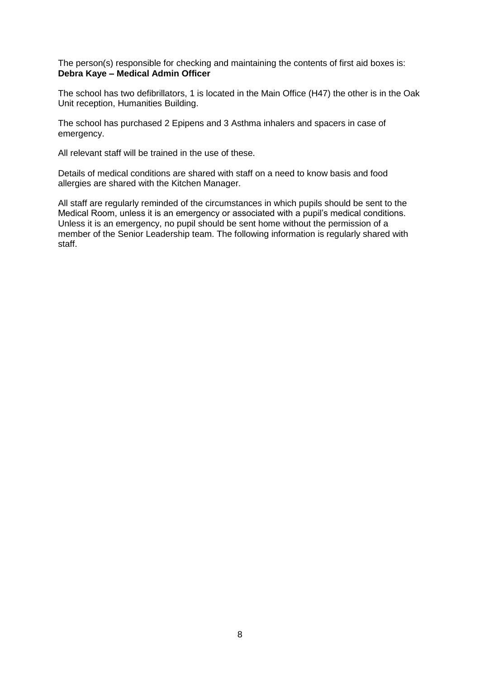The person(s) responsible for checking and maintaining the contents of first aid boxes is: **Debra Kaye – Medical Admin Officer**

The school has two defibrillators, 1 is located in the Main Office (H47) the other is in the Oak Unit reception, Humanities Building.

The school has purchased 2 Epipens and 3 Asthma inhalers and spacers in case of emergency.

All relevant staff will be trained in the use of these.

Details of medical conditions are shared with staff on a need to know basis and food allergies are shared with the Kitchen Manager.

All staff are regularly reminded of the circumstances in which pupils should be sent to the Medical Room, unless it is an emergency or associated with a pupil's medical conditions. Unless it is an emergency, no pupil should be sent home without the permission of a member of the Senior Leadership team. The following information is regularly shared with staff.